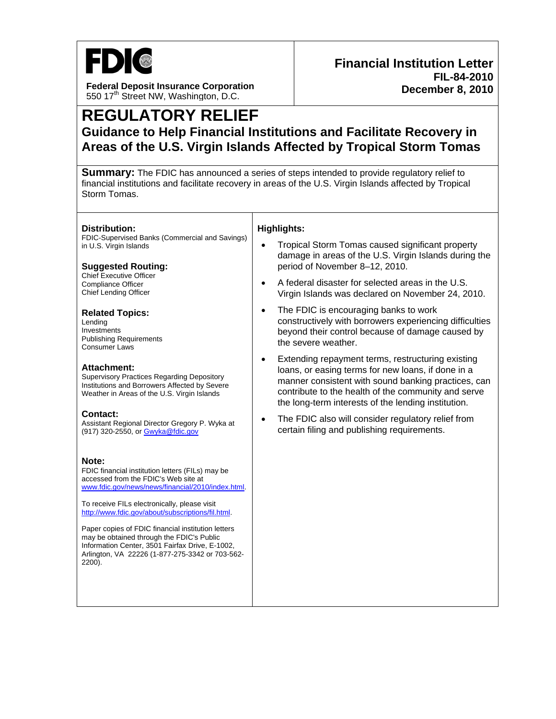

**Federal Deposit Insurance Corporation**  550 17<sup>th</sup> Street NW, Washington, D.C.

## **REGULATORY RELIEF Guidance to Help Financial Institutions and Facilitate Recovery in Areas of the U.S. Virgin Islands Affected by Tropical Storm Tomas**

**Summary:** The FDIC has announced a series of steps intended to provide regulatory relief to financial institutions and facilitate recovery in areas of the U.S. Virgin Islands affected by Tropical Storm Tomas.

| Distribution:<br>FDIC-Supervised Banks (Commercial and Savings)<br>in U.S. Virgin Islands<br><b>Suggested Routing:</b><br><b>Chief Executive Officer</b><br><b>Compliance Officer</b><br><b>Chief Lending Officer</b><br><b>Related Topics:</b><br>Lending<br>Investments<br><b>Publishing Requirements</b><br><b>Consumer Laws</b><br>Attachment:<br><b>Supervisory Practices Regarding Depository</b><br>Institutions and Borrowers Affected by Severe<br>Weather in Areas of the U.S. Virgin Islands | <b>Highlights:</b><br>Tropical Storm Tomas caused significant property<br>damage in areas of the U.S. Virgin Islands during the<br>period of November 8-12, 2010.<br>A federal disaster for selected areas in the U.S.<br>Virgin Islands was declared on November 24, 2010.<br>The FDIC is encouraging banks to work<br>$\bullet$<br>constructively with borrowers experiencing difficulties<br>beyond their control because of damage caused by<br>the severe weather.<br>Extending repayment terms, restructuring existing<br>$\bullet$<br>loans, or easing terms for new loans, if done in a<br>manner consistent with sound banking practices, can<br>contribute to the health of the community and serve<br>the long-term interests of the lending institution. |
|---------------------------------------------------------------------------------------------------------------------------------------------------------------------------------------------------------------------------------------------------------------------------------------------------------------------------------------------------------------------------------------------------------------------------------------------------------------------------------------------------------|----------------------------------------------------------------------------------------------------------------------------------------------------------------------------------------------------------------------------------------------------------------------------------------------------------------------------------------------------------------------------------------------------------------------------------------------------------------------------------------------------------------------------------------------------------------------------------------------------------------------------------------------------------------------------------------------------------------------------------------------------------------------|
| Contact:<br>Assistant Regional Director Gregory P. Wyka at<br>(917) 320-2550, or Gwyka@fdic.gov                                                                                                                                                                                                                                                                                                                                                                                                         | The FDIC also will consider regulatory relief from<br>$\bullet$<br>certain filing and publishing requirements.                                                                                                                                                                                                                                                                                                                                                                                                                                                                                                                                                                                                                                                       |
| Note:<br>FDIC financial institution letters (FILs) may be<br>accessed from the FDIC's Web site at<br>www.fdic.gov/news/news/financial/2010/index.html.<br>To receive FILs electronically, please visit<br>http://www.fdic.gov/about/subscriptions/fil.html.<br>Paper copies of FDIC financial institution letters<br>may be obtained through the FDIC's Public<br>Information Center, 3501 Fairfax Drive, E-1002,<br>Arlington, VA 22226 (1-877-275-3342 or 703-562-<br>2200).                          |                                                                                                                                                                                                                                                                                                                                                                                                                                                                                                                                                                                                                                                                                                                                                                      |